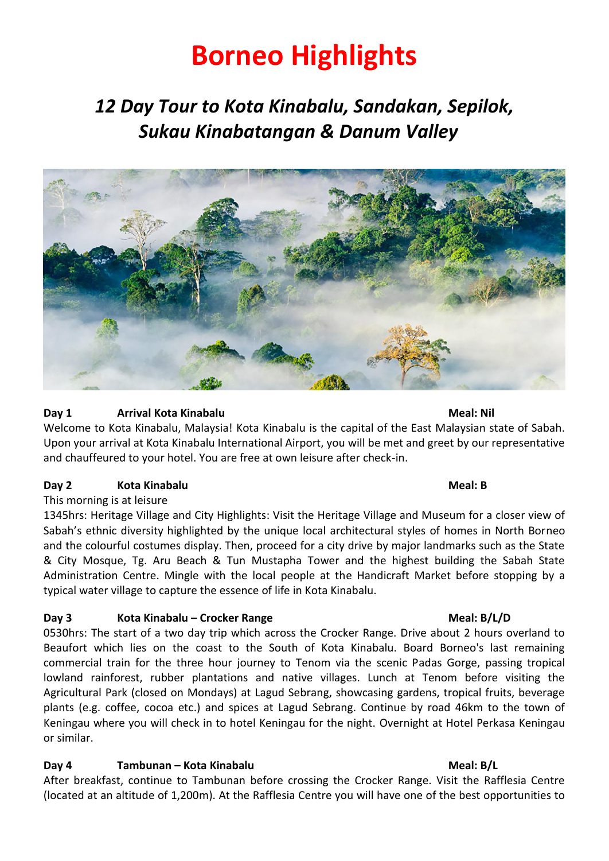# **Borneo Highlights**

## *12 Day Tour to Kota Kinabalu, Sandakan, Sepilok, Sukau Kinabatangan & Danum Valley*



### **Day 1 Arrival Kota Kinabalu Meal: Nil**

Welcome to Kota Kinabalu, Malaysia! Kota Kinabalu is the capital of the East Malaysian state of Sabah. Upon your arrival at Kota Kinabalu International Airport, you will be met and greet by our representative and chauffeured to your hotel. You are free at own leisure after check-in.

### **Day 2 Kota Kinabalu Meal: B**

### This morning is at leisure

1345hrs: Heritage Village and City Highlights: Visit the Heritage Village and Museum for a closer view of Sabah's ethnic diversity highlighted by the unique local architectural styles of homes in North Borneo and the colourful costumes display. Then, proceed for a city drive by major landmarks such as the State & City Mosque, Tg. Aru Beach & Tun Mustapha Tower and the highest building the Sabah State Administration Centre. Mingle with the local people at the Handicraft Market before stopping by a typical water village to capture the essence of life in Kota Kinabalu.

### **Day 3 Kota Kinabalu – Crocker Range Meal: B/L/D**

0530hrs: The start of a two day trip which across the Crocker Range. Drive about 2 hours overland to Beaufort which lies on the coast to the South of Kota Kinabalu. Board Borneo's last remaining commercial train for the three hour journey to Tenom via the scenic Padas Gorge, passing tropical lowland rainforest, rubber plantations and native villages. Lunch at Tenom before visiting the Agricultural Park (closed on Mondays) at Lagud Sebrang, showcasing gardens, tropical fruits, beverage plants (e.g. coffee, cocoa etc.) and spices at Lagud Sebrang. Continue by road 46km to the town of Keningau where you will check in to hotel Keningau for the night. Overnight at Hotel Perkasa Keningau or similar.

### **Day 4 Tambunan – Kota Kinabalu Meal: B/L**

After breakfast, continue to Tambunan before crossing the Crocker Range. Visit the Rafflesia Centre (located at an altitude of 1,200m). At the Rafflesia Centre you will have one of the best opportunities to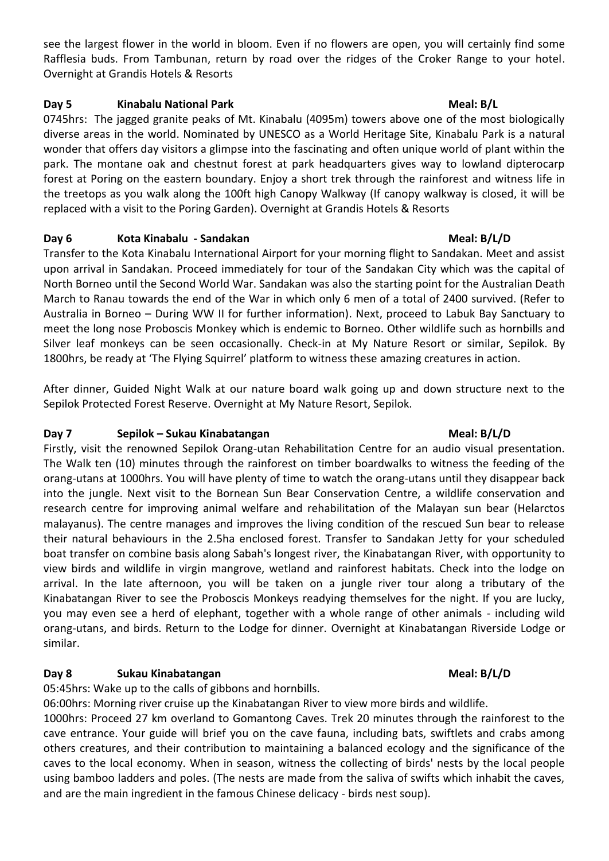see the largest flower in the world in bloom. Even if no flowers are open, you will certainly find some Rafflesia buds. From Tambunan, return by road over the ridges of the Croker Range to your hotel. Overnight at Grandis Hotels & Resorts

### **Day 5 Kinabalu National Park Meal: B/L**

0745hrs: The jagged granite peaks of Mt. Kinabalu (4095m) towers above one of the most biologically diverse areas in the world. Nominated by UNESCO as a World Heritage Site, Kinabalu Park is a natural wonder that offers day visitors a glimpse into the fascinating and often unique world of plant within the park. The montane oak and chestnut forest at park headquarters gives way to lowland dipterocarp forest at Poring on the eastern boundary. Enjoy a short trek through the rainforest and witness life in the treetops as you walk along the 100ft high Canopy Walkway (If canopy walkway is closed, it will be replaced with a visit to the Poring Garden). Overnight at Grandis Hotels & Resorts

### **Day 6 Kota Kinabalu - Sandakan Meal: B/L/D**

Transfer to the Kota Kinabalu International Airport for your morning flight to Sandakan. Meet and assist upon arrival in Sandakan. Proceed immediately for tour of the Sandakan City which was the capital of North Borneo until the Second World War. Sandakan was also the starting point for the Australian Death March to Ranau towards the end of the War in which only 6 men of a total of 2400 survived. (Refer to Australia in Borneo – During WW II for further information). Next, proceed to Labuk Bay Sanctuary to meet the long nose Proboscis Monkey which is endemic to Borneo. Other wildlife such as hornbills and Silver leaf monkeys can be seen occasionally. Check-in at My Nature Resort or similar, Sepilok. By 1800hrs, be ready at 'The Flying Squirrel' platform to witness these amazing creatures in action.

After dinner, Guided Night Walk at our nature board walk going up and down structure next to the Sepilok Protected Forest Reserve. Overnight at My Nature Resort, Sepilok.

### **Day 7 Sepilok – Sukau Kinabatangan Meal: B/L/D**

Firstly, visit the renowned Sepilok Orang-utan Rehabilitation Centre for an audio visual presentation. The Walk ten (10) minutes through the rainforest on timber boardwalks to witness the feeding of the orang-utans at 1000hrs. You will have plenty of time to watch the orang-utans until they disappear back into the jungle. Next visit to the Bornean Sun Bear Conservation Centre, a wildlife conservation and research centre for improving animal welfare and rehabilitation of the Malayan sun bear (Helarctos malayanus). The centre manages and improves the living condition of the rescued Sun bear to release their natural behaviours in the 2.5ha enclosed forest. Transfer to Sandakan Jetty for your scheduled boat transfer on combine basis along Sabah's longest river, the Kinabatangan River, with opportunity to view birds and wildlife in virgin mangrove, wetland and rainforest habitats. Check into the lodge on arrival. In the late afternoon, you will be taken on a jungle river tour along a tributary of the Kinabatangan River to see the Proboscis Monkeys readying themselves for the night. If you are lucky, you may even see a herd of elephant, together with a whole range of other animals - including wild orang-utans, and birds. Return to the Lodge for dinner. Overnight at Kinabatangan Riverside Lodge or similar.

### **Day 8 Sukau Kinabatangan Meal: B/L/D**

05:45hrs: Wake up to the calls of gibbons and hornbills.

06:00hrs: Morning river cruise up the Kinabatangan River to view more birds and wildlife. 1000hrs: Proceed 27 km overland to Gomantong Caves. Trek 20 minutes through the rainforest to the cave entrance. Your guide will brief you on the cave fauna, including bats, swiftlets and crabs among others creatures, and their contribution to maintaining a balanced ecology and the significance of the caves to the local economy. When in season, witness the collecting of birds' nests by the local people using bamboo ladders and poles. (The nests are made from the saliva of swifts which inhabit the caves, and are the main ingredient in the famous Chinese delicacy - birds nest soup).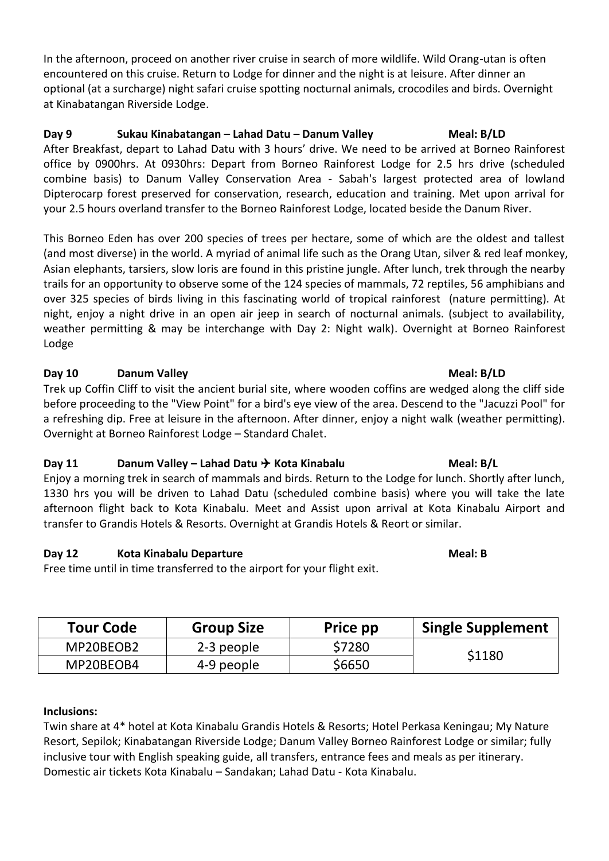In the afternoon, proceed on another river cruise in search of more wildlife. Wild Orang-utan is often encountered on this cruise. Return to Lodge for dinner and the night is at leisure. After dinner an optional (at a surcharge) night safari cruise spotting nocturnal animals, crocodiles and birds. Overnight at Kinabatangan Riverside Lodge.

### **Day 9 Sukau Kinabatangan – Lahad Datu – Danum Valley Meal: B/LD**

After Breakfast, depart to Lahad Datu with 3 hours' drive. We need to be arrived at Borneo Rainforest office by 0900hrs. At 0930hrs: Depart from Borneo Rainforest Lodge for 2.5 hrs drive (scheduled combine basis) to Danum Valley Conservation Area - Sabah's largest protected area of lowland Dipterocarp forest preserved for conservation, research, education and training. Met upon arrival for your 2.5 hours overland transfer to the Borneo Rainforest Lodge, located beside the Danum River.

This Borneo Eden has over 200 species of trees per hectare, some of which are the oldest and tallest (and most diverse) in the world. A myriad of animal life such as the Orang Utan, silver & red leaf monkey, Asian elephants, tarsiers, slow loris are found in this pristine jungle. After lunch, trek through the nearby trails for an opportunity to observe some of the 124 species of mammals, 72 reptiles, 56 amphibians and over 325 species of birds living in this fascinating world of tropical rainforest (nature permitting). At night, enjoy a night drive in an open air jeep in search of nocturnal animals. (subject to availability, weather permitting & may be interchange with Day 2: Night walk). Overnight at Borneo Rainforest Lodge

### **Day 10 Danum Valley Meal: B/LD**

Trek up Coffin Cliff to visit the ancient burial site, where wooden coffins are wedged along the cliff side before proceeding to the "View Point" for a bird's eye view of the area. Descend to the "Jacuzzi Pool" for a refreshing dip. Free at leisure in the afternoon. After dinner, enjoy a night walk (weather permitting). Overnight at Borneo Rainforest Lodge – Standard Chalet.

### **Day 11 Danum Valley – Lahad Datu**  $\rightarrow$  Kota Kinabalu **Meal: B/L**

Enjoy a morning trek in search of mammals and birds. Return to the Lodge for lunch. Shortly after lunch, 1330 hrs you will be driven to Lahad Datu (scheduled combine basis) where you will take the late afternoon flight back to Kota Kinabalu. Meet and Assist upon arrival at Kota Kinabalu Airport and transfer to Grandis Hotels & Resorts. Overnight at Grandis Hotels & Reort or similar.

### **Day 12 Kota Kinabalu Departure Meal: B**

Free time until in time transferred to the airport for your flight exit.

| <b>Tour Code</b> | <b>Group Size</b> | Price pp | <b>Single Supplement</b> |
|------------------|-------------------|----------|--------------------------|
| MP20BEOB2        | 2-3 people        | \$7280   | \$1180                   |
| MP20BEOB4        | 4-9 people        | \$6650   |                          |

### **Inclusions:**

Twin share at 4\* hotel at Kota Kinabalu Grandis Hotels & Resorts; Hotel Perkasa Keningau; My Nature Resort, Sepilok; Kinabatangan Riverside Lodge; Danum Valley Borneo Rainforest Lodge or similar; fully inclusive tour with English speaking guide, all transfers, entrance fees and meals as per itinerary. Domestic air tickets Kota Kinabalu – Sandakan; Lahad Datu - Kota Kinabalu.